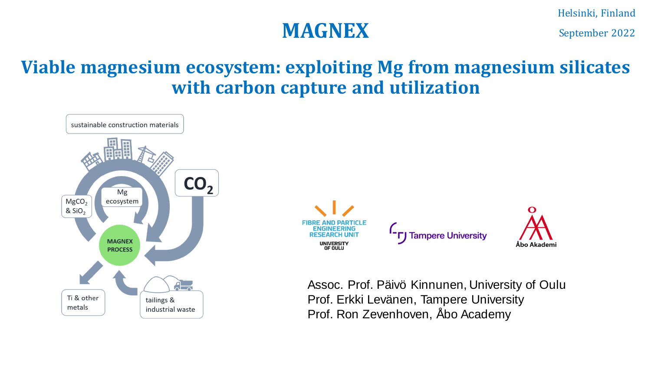## **MAGNEX** September 2022

### **Viable magnesium ecosystem: exploiting Mg from magnesium silicates with carbon capture and utilization**

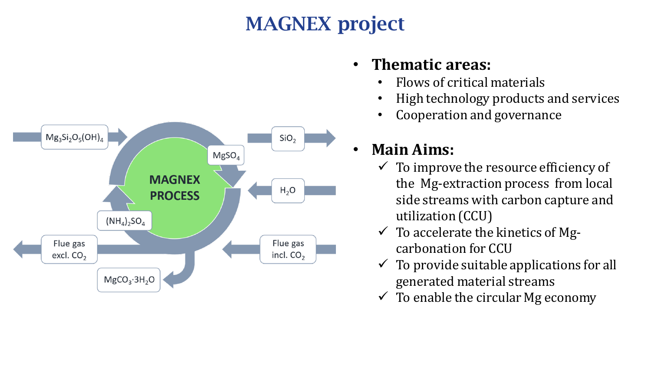# MAGNEX project



#### • **Thematic areas:**

- Flows of critical materials
- High technology products and services
- Cooperation and governance

### • **Main Aims:**

- $\checkmark$  To improve the resource efficiency of the Mg-extraction process from local side streams with carbon capture and utilization (CCU)
- $\checkmark$  To accelerate the kinetics of Mgcarbonation for CCU
- $\checkmark$  To provide suitable applications for all generated material streams
- $\checkmark$  To enable the circular Mg economy